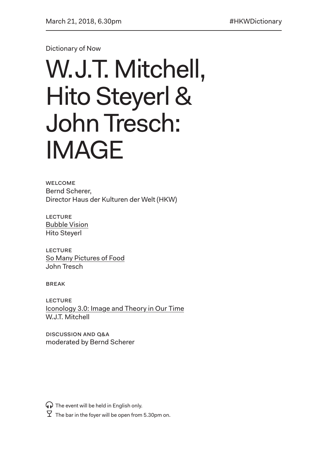Dictionary of Now

## W.J.T. Mitchell, Hito Steyerl & John Tresch: IMAGE

**WELCOME** Bernd Scherer, Director Haus der Kulturen der Welt (HKW)

**LECTURE** Bubble Vision Hito Steyerl

**LECTURE** So Many Pictures of Food John Tresch

**BREAK** 

**LECTURE** Iconology 3.0: Image and Theory in Our Time W.J.T. Mitchell

Discussion and Q&A moderated by Bernd Scherer

 $\mathbf{\Omega}$  The event will be held in English only.

 $\overline{Y}$  The bar in the foyer will be open from 5.30pm on.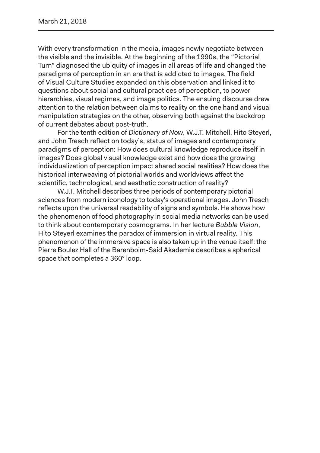With every transformation in the media, images newly negotiate between the visible and the invisible. At the beginning of the 1990s, the "Pictorial Turn" diagnosed the ubiquity of images in all areas of life and changed the paradigms of perception in an era that is addicted to images. The field of Visual Culture Studies expanded on this observation and linked it to questions about social and cultural practices of perception, to power hierarchies, visual regimes, and image politics. The ensuing discourse drew attention to the relation between claims to reality on the one hand and visual manipulation strategies on the other, observing both against the backdrop of current debates about post-truth.

For the tenth edition of *Dictionary of Now*, W.J.T. Mitchell, Hito Steyerl, and John Tresch reflect on today's, status of images and contemporary paradigms of perception: How does cultural knowledge reproduce itself in images? Does global visual knowledge exist and how does the growing individualization of perception impact shared social realities? How does the historical interweaving of pictorial worlds and worldviews affect the scientific, technological, and aesthetic construction of reality?

W.J.T. Mitchell describes three periods of contemporary pictorial sciences from modern iconology to today's operational images. John Tresch reflects upon the universal readability of signs and symbols. He shows how the phenomenon of food photography in social media networks can be used to think about contemporary cosmograms. In her lecture *Bubble Vision*, Hito Steyerl examines the paradox of immersion in virtual reality. This phenomenon of the immersive space is also taken up in the venue itself: the Pierre Boulez Hall of the Barenboim-Said Akademie describes a spherical space that completes a 360° loop.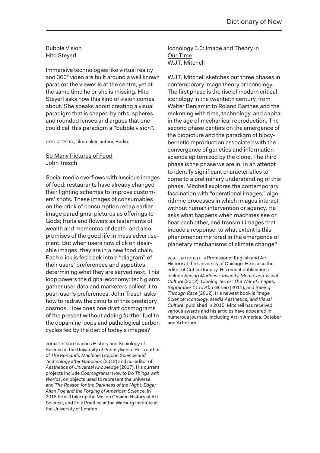## Bubble Vision Hito Steyerl

Immersive technologies like virtual reality and 360° video are built around a well known paradox: the viewer is at the centre, yet at the same time he or she is missing. Hito Steyerl asks how this kind of vision comes about. She speaks about creating a visual paradigm that is shaped by orbs, spheres, and rounded lenses and argues that one could call this paradigm a "bubble vision".

HITO STEYERL, filmmaker, author, Berlin.

## So Many Pictures of Food John Tresch

Social media overflows with luscious images of food: restaurants have already changed their lighting schemes to improve customers' shots. These images of consumables on the brink of consumption recap earlier image paradigms: pictures as offerings to Gods; fruits and flowers as testaments of wealth and mementos of death–and also promises of the good life in mass advertisement. But when users now click on desirable images, they are in a new food chain. Each click is fed back into a "diagram" of their users' preferences and appetites, determining what they are served next. This loop powers the digital economy: tech giants gather user data and marketers collect it to push user's preferences. John Tresch asks how to redraw the circuits of this predatory cosmos. How does one draft cosmograms of the present without adding further fuel to the dopamine loops and pathological carbon cycles fed by the diet of today's images?

John Tresch teaches History and Sociology of Science at the University of Pennsylvania. He is author of *The Romantic Machine: Utopian Science and Technology after Napoleon* (2012) and co-editor of *Aesthetics of Universal Knowledge* (2017). His current projects include *Cosmograms: How to Do Things with Worlds*, on objects used to represent the universe, and *The Reason for the Darkness of the Night: Edgar Allan Poe and the Forging of American Science*. In 2018 he will take up the Mellon Chair in History of Art, Science, and Folk Practice at the Warburg Institute at the University of London.

Iconology 3.0: Image and Theory in Our Time W.J.T. Mitchell

W.J.T. Mitchell sketches out three phases in contemporary image theory or iconology. The first phase is the rise of modern critical iconology in the twentieth century, from Walter Benjamin to Roland Barthes and the reckoning with time, technology, and capital in the age of mechanical reproduction. The second phase centers on the emergence of the biopicture and the paradigm of biocybernetic reproduction associated with the convergence of genetics and information science epitomized by the clone. The third phase is the phase we are in. In an attenpt to identify significant characteristics to come to a preliminary understanding of this phase, Mitchell explores the contemporary fascination with "operational images," algorithmic processes in which images interact without human intervention or agency. He asks what happens when machines see or hear each other, and transmit images that induce a response: to what extent is this phenomenon mirrored in the emergence of planetary mechanisms of climate change?

W.J.T. MITCHELL is Professor of English and Art History at the University of Chicago. He is also the editor of Critical Inquiry. His recent publications include *Seeing Madness: Insanity, Media, and Visual Culture* (2012), *Cloning Terror: The War of Images, September 11 to Abu Ghraib* (2011), and *Seeing Through Race* (2012). His newest book is *Image Science: Iconology, Media Aesthetics, and Visual Culture*, published in 2015. Mitchell has received various awards and his articles have appeared in numerous journals, including Art in America, October and Artforum.